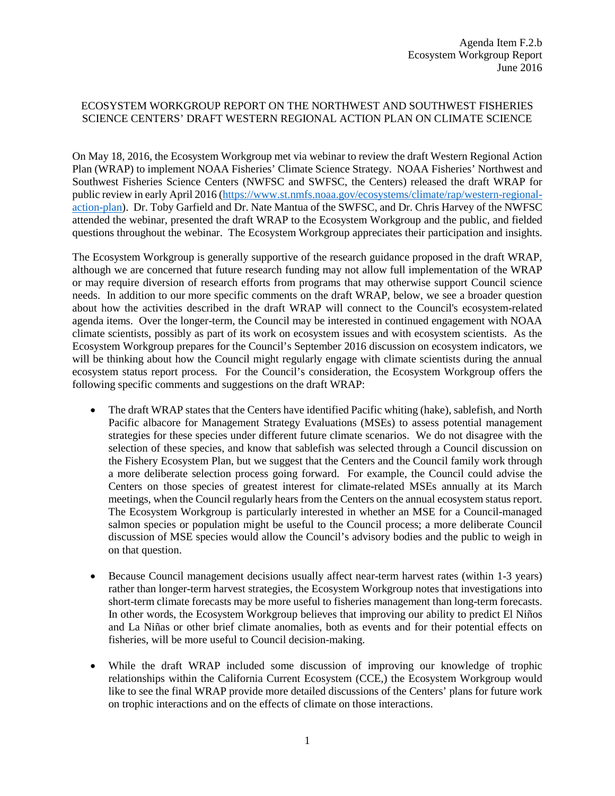## ECOSYSTEM WORKGROUP REPORT ON THE NORTHWEST AND SOUTHWEST FISHERIES SCIENCE CENTERS' DRAFT WESTERN REGIONAL ACTION PLAN ON CLIMATE SCIENCE

On May 18, 2016, the Ecosystem Workgroup met via webinar to review the draft Western Regional Action Plan (WRAP) to implement NOAA Fisheries' Climate Science Strategy. NOAA Fisheries' Northwest and Southwest Fisheries Science Centers (NWFSC and SWFSC, the Centers) released the draft WRAP for public review in early April 2016 [\(https://www.st.nmfs.noaa.gov/ecosystems/climate/rap/western-regional](https://www.st.nmfs.noaa.gov/ecosystems/climate/rap/western-regional-action-plan)[action-plan\)](https://www.st.nmfs.noaa.gov/ecosystems/climate/rap/western-regional-action-plan). Dr. Toby Garfield and Dr. Nate Mantua of the SWFSC, and Dr. Chris Harvey of the NWFSC attended the webinar, presented the draft WRAP to the Ecosystem Workgroup and the public, and fielded questions throughout the webinar. The Ecosystem Workgroup appreciates their participation and insights.

The Ecosystem Workgroup is generally supportive of the research guidance proposed in the draft WRAP, although we are concerned that future research funding may not allow full implementation of the WRAP or may require diversion of research efforts from programs that may otherwise support Council science needs. In addition to our more specific comments on the draft WRAP, below, we see a broader question about how the activities described in the draft WRAP will connect to the Council's ecosystem-related agenda items. Over the longer-term, the Council may be interested in continued engagement with NOAA climate scientists, possibly as part of its work on ecosystem issues and with ecosystem scientists. As the Ecosystem Workgroup prepares for the Council's September 2016 discussion on ecosystem indicators, we will be thinking about how the Council might regularly engage with climate scientists during the annual ecosystem status report process. For the Council's consideration, the Ecosystem Workgroup offers the following specific comments and suggestions on the draft WRAP:

- The draft WRAP states that the Centers have identified Pacific whiting (hake), sablefish, and North Pacific albacore for Management Strategy Evaluations (MSEs) to assess potential management strategies for these species under different future climate scenarios. We do not disagree with the selection of these species, and know that sablefish was selected through a Council discussion on the Fishery Ecosystem Plan, but we suggest that the Centers and the Council family work through a more deliberate selection process going forward. For example, the Council could advise the Centers on those species of greatest interest for climate-related MSEs annually at its March meetings, when the Council regularly hears from the Centers on the annual ecosystem status report. The Ecosystem Workgroup is particularly interested in whether an MSE for a Council-managed salmon species or population might be useful to the Council process; a more deliberate Council discussion of MSE species would allow the Council's advisory bodies and the public to weigh in on that question.
- Because Council management decisions usually affect near-term harvest rates (within 1-3 years) rather than longer-term harvest strategies, the Ecosystem Workgroup notes that investigations into short-term climate forecasts may be more useful to fisheries management than long-term forecasts. In other words, the Ecosystem Workgroup believes that improving our ability to predict El Niños and La Niñas or other brief climate anomalies, both as events and for their potential effects on fisheries, will be more useful to Council decision-making.
- While the draft WRAP included some discussion of improving our knowledge of trophic relationships within the California Current Ecosystem (CCE,) the Ecosystem Workgroup would like to see the final WRAP provide more detailed discussions of the Centers' plans for future work on trophic interactions and on the effects of climate on those interactions.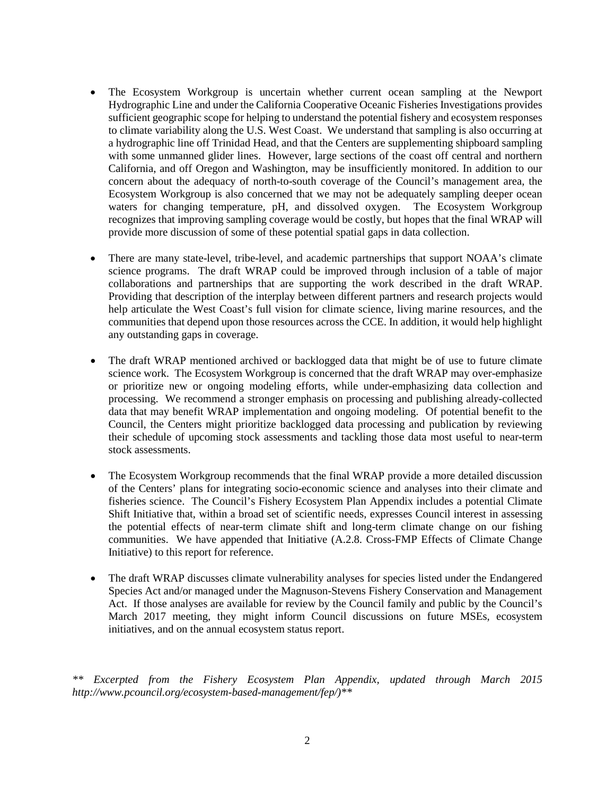- The Ecosystem Workgroup is uncertain whether current ocean sampling at the Newport Hydrographic Line and under the California Cooperative Oceanic Fisheries Investigations provides sufficient geographic scope for helping to understand the potential fishery and ecosystem responses to climate variability along the U.S. West Coast. We understand that sampling is also occurring at a hydrographic line off Trinidad Head, and that the Centers are supplementing shipboard sampling with some unmanned glider lines. However, large sections of the coast off central and northern California, and off Oregon and Washington, may be insufficiently monitored. In addition to our concern about the adequacy of north-to-south coverage of the Council's management area, the Ecosystem Workgroup is also concerned that we may not be adequately sampling deeper ocean waters for changing temperature, pH, and dissolved oxygen. The Ecosystem Workgroup recognizes that improving sampling coverage would be costly, but hopes that the final WRAP will provide more discussion of some of these potential spatial gaps in data collection.
- There are many state-level, tribe-level, and academic partnerships that support NOAA's climate science programs. The draft WRAP could be improved through inclusion of a table of major collaborations and partnerships that are supporting the work described in the draft WRAP. Providing that description of the interplay between different partners and research projects would help articulate the West Coast's full vision for climate science, living marine resources, and the communities that depend upon those resources across the CCE. In addition, it would help highlight any outstanding gaps in coverage.
- The draft WRAP mentioned archived or backlogged data that might be of use to future climate science work. The Ecosystem Workgroup is concerned that the draft WRAP may over-emphasize or prioritize new or ongoing modeling efforts, while under-emphasizing data collection and processing. We recommend a stronger emphasis on processing and publishing already-collected data that may benefit WRAP implementation and ongoing modeling. Of potential benefit to the Council, the Centers might prioritize backlogged data processing and publication by reviewing their schedule of upcoming stock assessments and tackling those data most useful to near-term stock assessments.
- The Ecosystem Workgroup recommends that the final WRAP provide a more detailed discussion of the Centers' plans for integrating socio-economic science and analyses into their climate and fisheries science. The Council's Fishery Ecosystem Plan Appendix includes a potential Climate Shift Initiative that, within a broad set of scientific needs, expresses Council interest in assessing the potential effects of near-term climate shift and long-term climate change on our fishing communities. We have appended that Initiative (A.2.8. Cross-FMP Effects of Climate Change Initiative) to this report for reference.
- The draft WRAP discusses climate vulnerability analyses for species listed under the Endangered Species Act and/or managed under the Magnuson-Stevens Fishery Conservation and Management Act. If those analyses are available for review by the Council family and public by the Council's March 2017 meeting, they might inform Council discussions on future MSEs, ecosystem initiatives, and on the annual ecosystem status report.

*\*\* Excerpted from the Fishery Ecosystem Plan Appendix, updated through March 2015 http://www.pcouncil.org/ecosystem-based-management/fep/)\*\**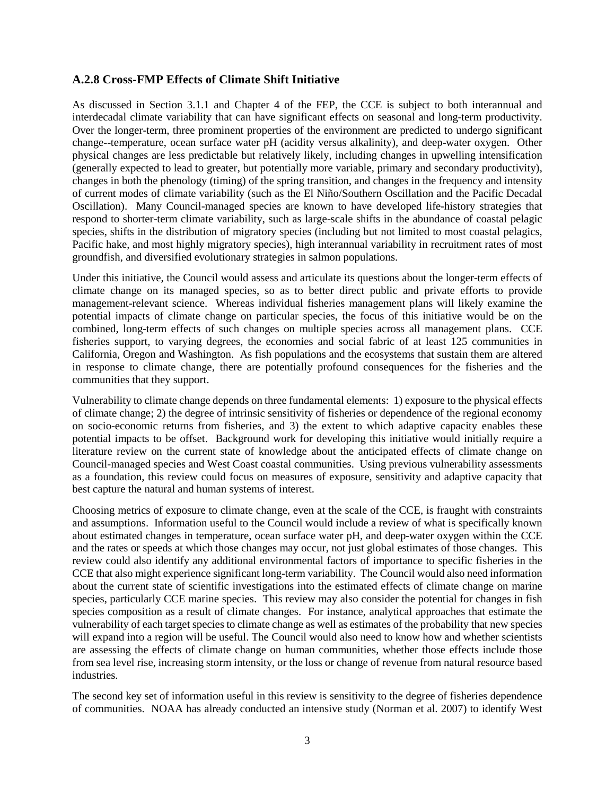## **A.2.8 Cross-FMP Effects of Climate Shift Initiative**

As discussed in Section 3.1.1 and Chapter 4 of the FEP, the CCE is subject to both interannual and interdecadal climate variability that can have significant effects on seasonal and long-term productivity. Over the longer-term, three prominent properties of the environment are predicted to undergo significant change--temperature, ocean surface water pH (acidity versus alkalinity), and deep-water oxygen. Other physical changes are less predictable but relatively likely, including changes in upwelling intensification (generally expected to lead to greater, but potentially more variable, primary and secondary productivity), changes in both the phenology (timing) of the spring transition, and changes in the frequency and intensity of current modes of climate variability (such as the El Niño/Southern Oscillation and the Pacific Decadal Oscillation). Many Council-managed species are known to have developed life-history strategies that respond to shorter-term climate variability, such as large-scale shifts in the abundance of coastal pelagic species, shifts in the distribution of migratory species (including but not limited to most coastal pelagics, Pacific hake, and most highly migratory species), high interannual variability in recruitment rates of most groundfish, and diversified evolutionary strategies in salmon populations.

Under this initiative, the Council would assess and articulate its questions about the longer-term effects of climate change on its managed species, so as to better direct public and private efforts to provide management-relevant science. Whereas individual fisheries management plans will likely examine the potential impacts of climate change on particular species, the focus of this initiative would be on the combined, long-term effects of such changes on multiple species across all management plans. CCE fisheries support, to varying degrees, the economies and social fabric of at least 125 communities in California, Oregon and Washington. As fish populations and the ecosystems that sustain them are altered in response to climate change, there are potentially profound consequences for the fisheries and the communities that they support.

Vulnerability to climate change depends on three fundamental elements: 1) exposure to the physical effects of climate change; 2) the degree of intrinsic sensitivity of fisheries or dependence of the regional economy on socio-economic returns from fisheries, and 3) the extent to which adaptive capacity enables these potential impacts to be offset. Background work for developing this initiative would initially require a literature review on the current state of knowledge about the anticipated effects of climate change on Council-managed species and West Coast coastal communities. Using previous vulnerability assessments as a foundation, this review could focus on measures of exposure, sensitivity and adaptive capacity that best capture the natural and human systems of interest.

Choosing metrics of exposure to climate change, even at the scale of the CCE, is fraught with constraints and assumptions. Information useful to the Council would include a review of what is specifically known about estimated changes in temperature, ocean surface water pH, and deep-water oxygen within the CCE and the rates or speeds at which those changes may occur, not just global estimates of those changes. This review could also identify any additional environmental factors of importance to specific fisheries in the CCE that also might experience significant long-term variability. The Council would also need information about the current state of scientific investigations into the estimated effects of climate change on marine species, particularly CCE marine species. This review may also consider the potential for changes in fish species composition as a result of climate changes. For instance, analytical approaches that estimate the vulnerability of each target species to climate change as well as estimates of the probability that new species will expand into a region will be useful. The Council would also need to know how and whether scientists are assessing the effects of climate change on human communities, whether those effects include those from sea level rise, increasing storm intensity, or the loss or change of revenue from natural resource based industries.

The second key set of information useful in this review is sensitivity to the degree of fisheries dependence of communities. NOAA has already conducted an intensive study (Norman et al. 2007) to identify West